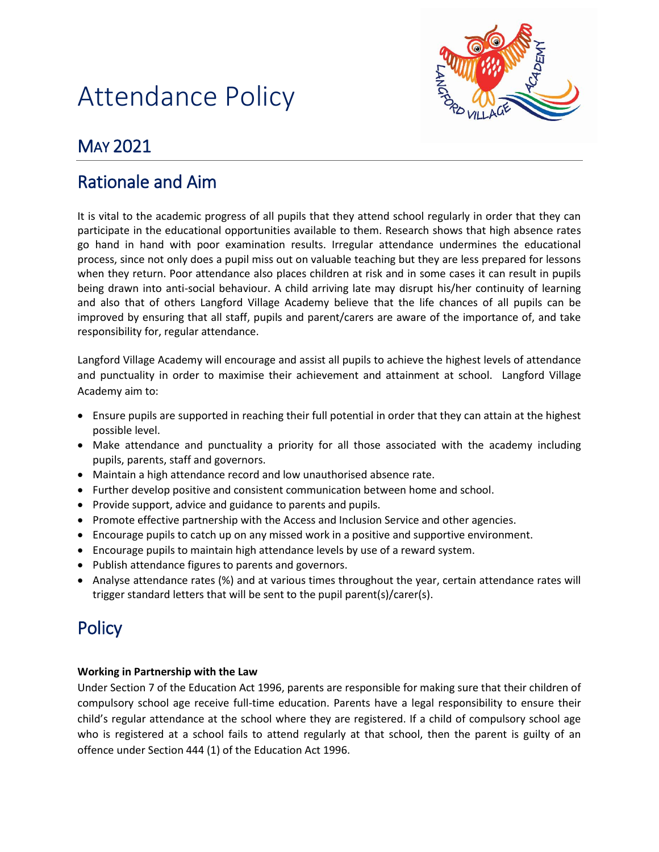# Attendance Policy



# MAY 2021

# Rationale and Aim

It is vital to the academic progress of all pupils that they attend school regularly in order that they can participate in the educational opportunities available to them. Research shows that high absence rates go hand in hand with poor examination results. Irregular attendance undermines the educational process, since not only does a pupil miss out on valuable teaching but they are less prepared for lessons when they return. Poor attendance also places children at risk and in some cases it can result in pupils being drawn into anti-social behaviour. A child arriving late may disrupt his/her continuity of learning and also that of others Langford Village Academy believe that the life chances of all pupils can be improved by ensuring that all staff, pupils and parent/carers are aware of the importance of, and take responsibility for, regular attendance.

Langford Village Academy will encourage and assist all pupils to achieve the highest levels of attendance and punctuality in order to maximise their achievement and attainment at school. Langford Village Academy aim to:

- Ensure pupils are supported in reaching their full potential in order that they can attain at the highest possible level.
- Make attendance and punctuality a priority for all those associated with the academy including pupils, parents, staff and governors.
- Maintain a high attendance record and low unauthorised absence rate.
- Further develop positive and consistent communication between home and school.
- Provide support, advice and guidance to parents and pupils.
- Promote effective partnership with the Access and Inclusion Service and other agencies.
- Encourage pupils to catch up on any missed work in a positive and supportive environment.
- Encourage pupils to maintain high attendance levels by use of a reward system.
- Publish attendance figures to parents and governors.
- Analyse attendance rates (%) and at various times throughout the year, certain attendance rates will trigger standard letters that will be sent to the pupil parent(s)/carer(s).

# **Policy**

#### **Working in Partnership with the Law**

Under Section 7 of the Education Act 1996, parents are responsible for making sure that their children of compulsory school age receive full-time education. Parents have a legal responsibility to ensure their child's regular attendance at the school where they are registered. If a child of compulsory school age who is registered at a school fails to attend regularly at that school, then the parent is guilty of an offence under Section 444 (1) of the Education Act 1996.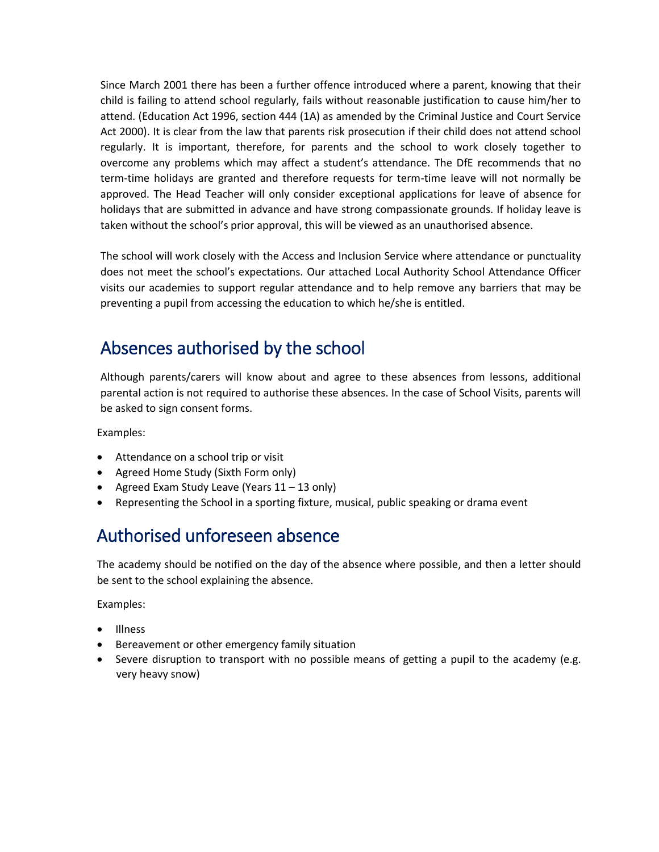Since March 2001 there has been a further offence introduced where a parent, knowing that their child is failing to attend school regularly, fails without reasonable justification to cause him/her to attend. (Education Act 1996, section 444 (1A) as amended by the Criminal Justice and Court Service Act 2000). It is clear from the law that parents risk prosecution if their child does not attend school regularly. It is important, therefore, for parents and the school to work closely together to overcome any problems which may affect a student's attendance. The DfE recommends that no term-time holidays are granted and therefore requests for term-time leave will not normally be approved. The Head Teacher will only consider exceptional applications for leave of absence for holidays that are submitted in advance and have strong compassionate grounds. If holiday leave is taken without the school's prior approval, this will be viewed as an unauthorised absence.

The school will work closely with the Access and Inclusion Service where attendance or punctuality does not meet the school's expectations. Our attached Local Authority School Attendance Officer visits our academies to support regular attendance and to help remove any barriers that may be preventing a pupil from accessing the education to which he/she is entitled.

#### Absences authorised by the school

Although parents/carers will know about and agree to these absences from lessons, additional parental action is not required to authorise these absences. In the case of School Visits, parents will be asked to sign consent forms.

Examples:

- Attendance on a school trip or visit
- Agreed Home Study (Sixth Form only)
- Agreed Exam Study Leave (Years 11 13 only)
- Representing the School in a sporting fixture, musical, public speaking or drama event

# Authorised unforeseen absence

The academy should be notified on the day of the absence where possible, and then a letter should be sent to the school explaining the absence.

Examples:

- Illness
- Bereavement or other emergency family situation
- Severe disruption to transport with no possible means of getting a pupil to the academy (e.g. very heavy snow)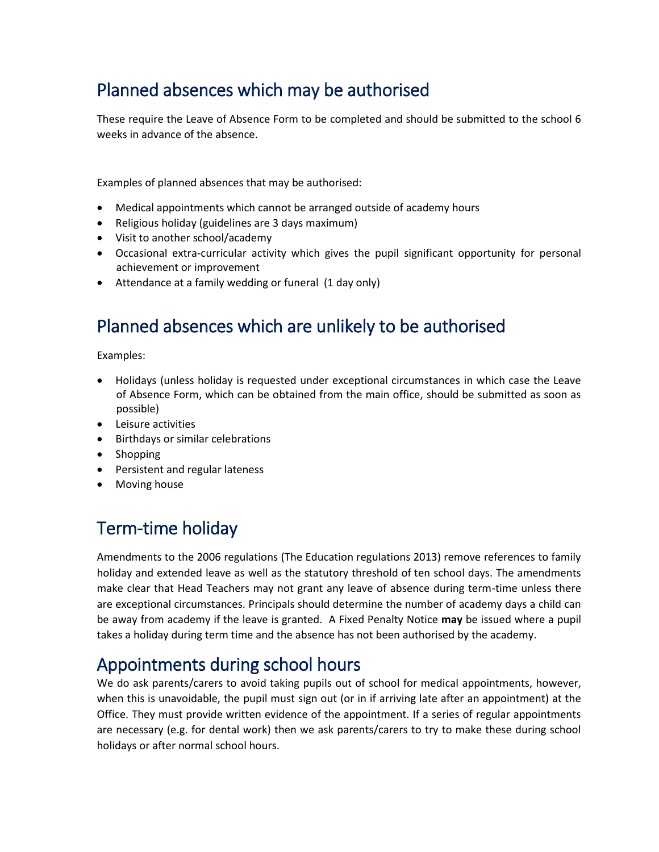# Planned absences which may be authorised

These require the Leave of Absence Form to be completed and should be submitted to the school 6 weeks in advance of the absence.

Examples of planned absences that may be authorised:

- Medical appointments which cannot be arranged outside of academy hours
- Religious holiday (guidelines are 3 days maximum)
- Visit to another school/academy
- Occasional extra-curricular activity which gives the pupil significant opportunity for personal achievement or improvement
- Attendance at a family wedding or funeral (1 day only)

# Planned absences which are unlikely to be authorised

Examples:

- Holidays (unless holiday is requested under exceptional circumstances in which case the Leave of Absence Form, which can be obtained from the main office, should be submitted as soon as possible)
- Leisure activities
- Birthdays or similar celebrations
- Shopping
- Persistent and regular lateness
- Moving house

# Term-time holiday

Amendments to the 2006 regulations (The Education regulations 2013) remove references to family holiday and extended leave as well as the statutory threshold of ten school days. The amendments make clear that Head Teachers may not grant any leave of absence during term-time unless there are exceptional circumstances. Principals should determine the number of academy days a child can be away from academy if the leave is granted. A Fixed Penalty Notice **may** be issued where a pupil takes a holiday during term time and the absence has not been authorised by the academy.

# Appointments during school hours

We do ask parents/carers to avoid taking pupils out of school for medical appointments, however, when this is unavoidable, the pupil must sign out (or in if arriving late after an appointment) at the Office. They must provide written evidence of the appointment. If a series of regular appointments are necessary (e.g. for dental work) then we ask parents/carers to try to make these during school holidays or after normal school hours.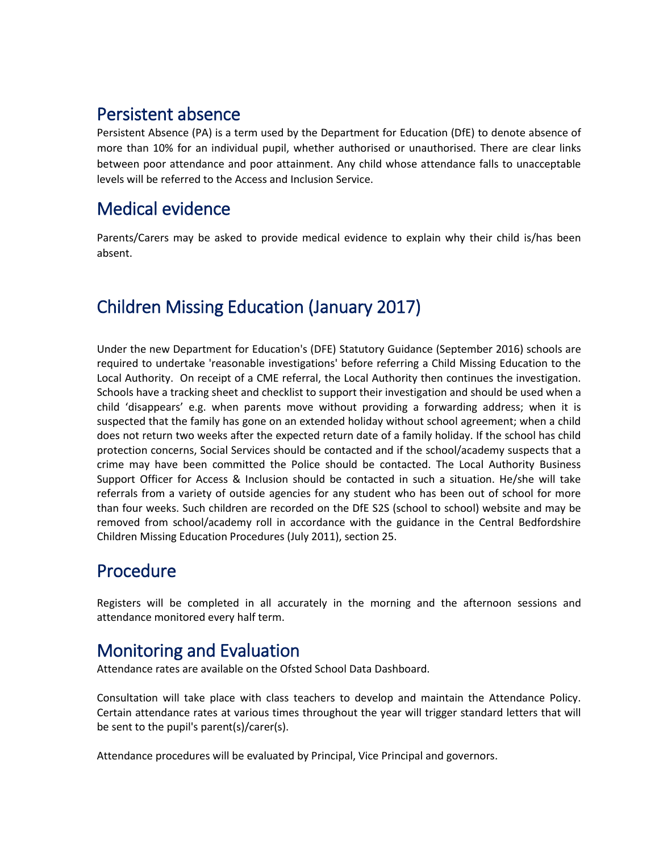#### Persistent absence

Persistent Absence (PA) is a term used by the Department for Education (DfE) to denote absence of more than 10% for an individual pupil, whether authorised or unauthorised. There are clear links between poor attendance and poor attainment. Any child whose attendance falls to unacceptable levels will be referred to the Access and Inclusion Service.

# Medical evidence

Parents/Carers may be asked to provide medical evidence to explain why their child is/has been absent.

# Children Missing Education (January 2017)

Under the new Department for Education's (DFE) Statutory Guidance (September 2016) schools are required to undertake 'reasonable investigations' before referring a Child Missing Education to the Local Authority. On receipt of a CME referral, the Local Authority then continues the investigation. Schools have a tracking sheet and checklist to support their investigation and should be used when a child 'disappears' e.g. when parents move without providing a forwarding address; when it is suspected that the family has gone on an extended holiday without school agreement; when a child does not return two weeks after the expected return date of a family holiday. If the school has child protection concerns, Social Services should be contacted and if the school/academy suspects that a crime may have been committed the Police should be contacted. The Local Authority Business Support Officer for Access & Inclusion should be contacted in such a situation. He/she will take referrals from a variety of outside agencies for any student who has been out of school for more than four weeks. Such children are recorded on the DfE S2S (school to school) website and may be removed from school/academy roll in accordance with the guidance in the Central Bedfordshire Children Missing Education Procedures (July 2011), section 25.

# Procedure

Registers will be completed in all accurately in the morning and the afternoon sessions and attendance monitored every half term.

# Monitoring and Evaluation

Attendance rates are available on the Ofsted School Data Dashboard.

Consultation will take place with class teachers to develop and maintain the Attendance Policy. Certain attendance rates at various times throughout the year will trigger standard letters that will be sent to the pupil's parent(s)/carer(s).

Attendance procedures will be evaluated by Principal, Vice Principal and governors.